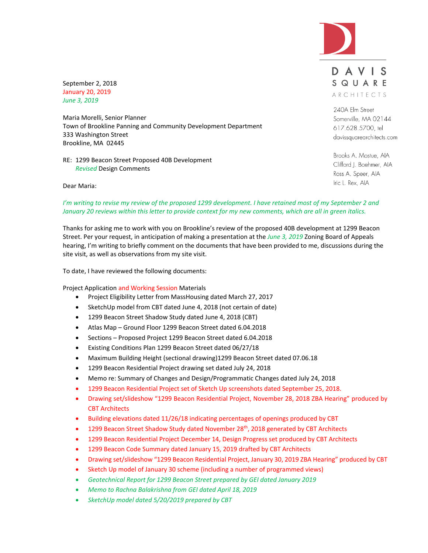

September 2, 2018 January 20, 2019 *June 3, 2019*

Maria Morelli, Senior Planner Town of Brookline Panning and Community Development Department 333 Washington Street Brookline, MA 02445

RE: 1299 Beacon Street Proposed 40B Development *Revised* Design Comments

DAVIS SQUARE ARCHITECTS

240A Elm Street Somerville, MA 02144 617.628.5700, tel davissquarearchitects.com

Brooks A. Mostue, AIA Clifford J. Boehmer, AIA Ross A. Speer, AIA Iric L. Rex, AIA

Dear Maria:

# *I'm writing to revise my review of the proposed 1299 development. I have retained most of my September 2 and January 20 reviews within this letter to provide context for my new comments, which are all in green italics.*

Thanks for asking me to work with you on Brookline's review of the proposed 40B development at 1299 Beacon Street. Per your request, in anticipation of making a presentation at the *June 3, 2019* Zoning Board of Appeals hearing, I'm writing to briefly comment on the documents that have been provided to me, discussions during the site visit, as well as observations from my site visit.

To date, I have reviewed the following documents:

Project Application and Working Session Materials

- Project Eligibility Letter from MassHousing dated March 27, 2017
- SketchUp model from CBT dated June 4, 2018 (not certain of date)
- 1299 Beacon Street Shadow Study dated June 4, 2018 (CBT)
- Atlas Map Ground Floor 1299 Beacon Street dated 6.04.2018
- Sections Proposed Project 1299 Beacon Street dated 6.04.2018
- Existing Conditions Plan 1299 Beacon Street dated 06/27/18
- Maximum Building Height (sectional drawing)1299 Beacon Street dated 07.06.18
- 1299 Beacon Residential Project drawing set dated July 24, 2018
- Memo re: Summary of Changes and Design/Programmatic Changes dated July 24, 2018
- 1299 Beacon Residential Project set of Sketch Up screenshots dated September 25, 2018.
- Drawing set/slideshow "1299 Beacon Residential Project, November 28, 2018 ZBA Hearing" produced by CBT Architects
- Building elevations dated 11/26/18 indicating percentages of openings produced by CBT
- 1299 Beacon Street Shadow Study dated November 28<sup>th</sup>, 2018 generated by CBT Architects
- 1299 Beacon Residential Project December 14, Design Progress set produced by CBT Architects
- 1299 Beacon Code Summary dated January 15, 2019 drafted by CBT Architects
- Drawing set/slideshow "1299 Beacon Residential Project, January 30, 2019 ZBA Hearing" produced by CBT
- Sketch Up model of January 30 scheme (including a number of programmed views)
- *Geotechnical Report for 1299 Beacon Street prepared by GEI dated January 2019*
- *Memo to Rachna Balakrishna from GEI dated April 18, 2019*
- *SketchUp model dated 5/20/2019 prepared by CBT*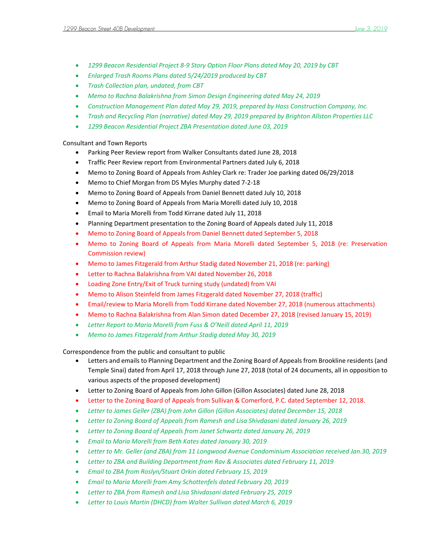- *1299 Beacon Residential Project 8-9 Story Option Floor Plans dated May 20, 2019 by CBT*
- *Enlarged Trash Rooms Plans dated 5/24/2019 produced by CBT*
- *Trash Collection plan, undated, from CBT*
- *Memo to Rachna Balakrishna from Simon Design Engineering dated May 24, 2019*
- *Construction Management Plan dated May 29, 2019, prepared by Hass Construction Company, Inc.*
- *Trash and Recycling Plan (narrative) dated May 29, 2019 prepared by Brighton Allston Properties LLC*
- *1299 Beacon Residential Project ZBA Presentation dated June 03, 2019*

## Consultant and Town Reports

- Parking Peer Review report from Walker Consultants dated June 28, 2018
- Traffic Peer Review report from Environmental Partners dated July 6, 2018
- Memo to Zoning Board of Appeals from Ashley Clark re: Trader Joe parking dated 06/29/2018
- Memo to Chief Morgan from DS Myles Murphy dated 7-2-18
- Memo to Zoning Board of Appeals from Daniel Bennett dated July 10, 2018
- Memo to Zoning Board of Appeals from Maria Morelli dated July 10, 2018
- Email to Maria Morelli from Todd Kirrane dated July 11, 2018
- Planning Department presentation to the Zoning Board of Appeals dated July 11, 2018
- Memo to Zoning Board of Appeals from Daniel Bennett dated September 5, 2018
- Memo to Zoning Board of Appeals from Maria Morelli dated September 5, 2018 (re: Preservation Commission review)
- Memo to James Fitzgerald from Arthur Stadig dated November 21, 2018 (re: parking)
- Letter to Rachna Balakrishna from VAI dated November 26, 2018
- Loading Zone Entry/Exit of Truck turning study (undated) from VAI
- Memo to Alison Steinfeld from James Fitzgerald dated November 27, 2018 (traffic)
- Email/review to Maria Morelli from Todd Kirrane dated November 27, 2018 (numerous attachments)
- Memo to Rachna Balakrishna from Alan Simon dated December 27, 2018 (revised January 15, 2019)
- *Letter Report to Maria Morelli from Fuss & O'Neill dated April 11, 2019*
- *Memo to James Fitzgerald from Arthur Stadig dated May 30, 2019*

Correspondence from the public and consultant to public

- Letters and emails to Planning Department and the Zoning Board of Appeals from Brookline residents (and Temple Sinai) dated from April 17, 2018 through June 27, 2018 (total of 24 documents, all in opposition to various aspects of the proposed development)
- Letter to Zoning Board of Appeals from John Gillon (Gillon Associates) dated June 28, 2018
- Letter to the Zoning Board of Appeals from Sullivan & Comerford, P.C. dated September 12, 2018.
- *Letter to James Geller (ZBA) from John Gillon (Gillon Associates) dated December 15, 2018*
- *Letter to Zoning Board of Appeals from Ramesh and Lisa Shivdasani dated January 26, 2019*
- *Letter to Zoning Board of Appeals from Janet Schwartz dated January 26, 2019*
- *Email to Maria Morelli from Beth Kates dated January 30, 2019*
- *Letter to Mr. Geller (and ZBA) from 11 Longwood Avenue Condominium Association received Jan.30, 2019*
- *Letter to ZBA and Building Department from Rav & Associates dated February 11, 2019*
- *Email to ZBA from Roslyn/Stuart Orkin dated February 15, 2019*
- *Email to Maria Morelli from Amy Schottenfels dated February 20, 2019*
- *Letter to ZBA from Ramesh and Lisa Shivdasani dated February 25, 2019*
- *Letter to Louis Martin (DHCD) from Walter Sullivan dated March 6, 2019*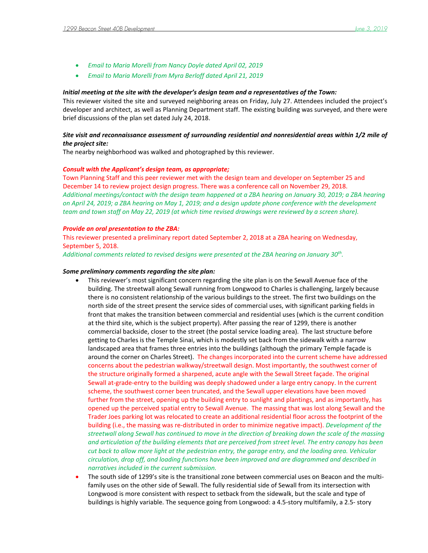- *Email to Maria Morelli from Nancy Doyle dated April 02, 2019*
- *Email to Maria Morelli from Myra Berloff dated April 21, 2019*

#### *Initial meeting at the site with the developer's design team and a representatives of the Town:*

This reviewer visited the site and surveyed neighboring areas on Friday, July 27. Attendees included the project's developer and architect, as well as Planning Department staff. The existing building was surveyed, and there were brief discussions of the plan set dated July 24, 2018.

## *Site visit and reconnaissance assessment of surrounding residential and nonresidential areas within 1/2 mile of the project site:*

The nearby neighborhood was walked and photographed by this reviewer.

#### *Consult with the Applicant's design team, as appropriate;*

Town Planning Staff and this peer reviewer met with the design team and developer on September 25 and December 14 to review project design progress. There was a conference call on November 29, 2018. *Additional meetings/contact with the design team happened at a ZBA hearing on January 30, 2019; a ZBA hearing on April 24, 2019; a ZBA hearing on May 1, 2019; and a design update phone conference with the development team and town staff on May 22, 2019 (at which time revised drawings were reviewed by a screen share).* 

### *Provide an oral presentation to the ZBA:*

This reviewer presented a preliminary report dated September 2, 2018 at a ZBA hearing on Wednesday, September 5, 2018.

*Additional comments related to revised designs were presented at the ZBA hearing on January 30th .* 

#### *Some preliminary comments regarding the site plan:*

- This reviewer's most significant concern regarding the site plan is on the Sewall Avenue face of the building. The streetwall along Sewall running from Longwood to Charles is challenging, largely because there is no consistent relationship of the various buildings to the street. The first two buildings on the north side of the street present the service sides of commercial uses, with significant parking fields in front that makes the transition between commercial and residential uses (which is the current condition at the third site, which is the subject property). After passing the rear of 1299, there is another commercial backside, closer to the street (the postal service loading area). The last structure before getting to Charles is the Temple Sinai, which is modestly set back from the sidewalk with a narrow landscaped area that frames three entries into the buildings (although the primary Temple façade is around the corner on Charles Street). The changes incorporated into the current scheme have addressed concerns about the pedestrian walkway/streetwall design. Most importantly, the southwest corner of the structure originally formed a sharpened, acute angle with the Sewall Street façade. The original Sewall at-grade-entry to the building was deeply shadowed under a large entry canopy. In the current scheme, the southwest corner been truncated, and the Sewall upper elevations have been moved further from the street, opening up the building entry to sunlight and plantings, and as importantly, has opened up the perceived spatial entry to Sewall Avenue. The massing that was lost along Sewall and the Trader Joes parking lot was relocated to create an additional residential floor across the footprint of the building (i.e., the massing was re-distributed in order to minimize negative impact). *Development of the streetwall along Sewall has continued to move in the direction of breaking down the scale of the massing and articulation of the building elements that are perceived from street level. The entry canopy has been cut back to allow more light at the pedestrian entry, the garage entry, and the loading area. Vehicular circulation, drop off, and loading functions have been improved and are diagrammed and described in narratives included in the current submission.*
- The south side of 1299's site is the transitional zone between commercial uses on Beacon and the multifamily uses on the other side of Sewall. The fully residential side of Sewall from its intersection with Longwood is more consistent with respect to setback from the sidewalk, but the scale and type of buildings is highly variable. The sequence going from Longwood: a 4.5-story multifamily, a 2.5- story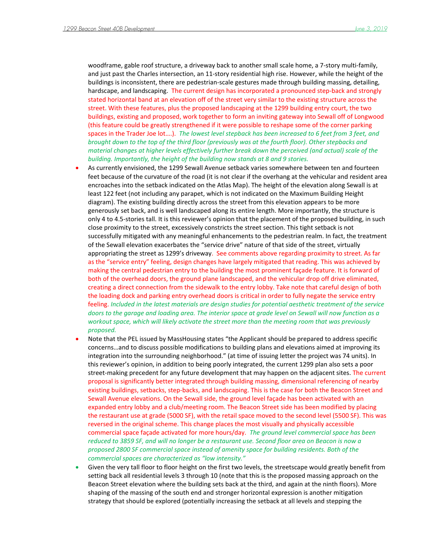woodframe, gable roof structure, a driveway back to another small scale home, a 7-story multi-family, and just past the Charles intersection, an 11-story residential high rise. However, while the height of the buildings is inconsistent, there are pedestrian-scale gestures made through building massing, detailing, hardscape, and landscaping. The current design has incorporated a pronounced step-back and strongly stated horizontal band at an elevation off of the street very similar to the existing structure across the street. With these features, plus the proposed landscaping at the 1299 building entry court, the two buildings, existing and proposed, work together to form an inviting gateway into Sewall off of Longwood (this feature could be greatly strengthened if it were possible to reshape some of the corner parking spaces in the Trader Joe lot….). *The lowest level stepback has been increased to 6 feet from 3 feet, and brought down to the top of the third floor (previously was at the fourth floor). Other stepbacks and material changes at higher levels effectively further break down the perceived (and actual) scale of the building. Importantly, the height of the building now stands at 8 and 9 stories.* 

- As currently envisioned, the 1299 Sewall Avenue setback varies somewhere between ten and fourteen feet because of the curvature of the road (it is not clear if the overhang at the vehicular and resident area encroaches into the setback indicated on the Atlas Map). The height of the elevation along Sewall is at least 122 feet (not including any parapet, which is not indicated on the Maximum Building Height diagram). The existing building directly across the street from this elevation appears to be more generously set back, and is well landscaped along its entire length. More importantly, the structure is only 4 to 4.5-stories tall. It is this reviewer's opinion that the placement of the proposed building, in such close proximity to the street, excessively constricts the street section. This tight setback is not successfully mitigated with any meaningful enhancements to the pedestrian realm. In fact, the treatment of the Sewall elevation exacerbates the "service drive" nature of that side of the street, virtually appropriating the street as 1299's driveway. See comments above regarding proximity to street. As far as the "service entry" feeling, design changes have largely mitigated that reading. This was achieved by making the central pedestrian entry to the building the most prominent façade feature. It is forward of both of the overhead doors, the ground plane landscaped, and the vehicular drop off drive eliminated, creating a direct connection from the sidewalk to the entry lobby. Take note that careful design of both the loading dock and parking entry overhead doors is critical in order to fully negate the service entry feeling. *Included in the latest materials are design studies for potential aesthetic treatment of the service doors to the garage and loading area. The interior space at grade level on Sewall will now function as a workout space, which will likely activate the street more than the meeting room that was previously proposed.*
- Note that the PEL issued by MassHousing states "the Applicant should be prepared to address specific concerns…and to discuss possible modifications to building plans and elevations aimed at improving its integration into the surrounding neighborhood." (at time of issuing letter the project was 74 units). In this reviewer's opinion, in addition to being poorly integrated, the current 1299 plan also sets a poor street-making precedent for any future development that may happen on the adjacent sites. The current proposal is significantly better integrated through building massing, dimensional referencing of nearby existing buildings, setbacks, step-backs, and landscaping. This is the case for both the Beacon Street and Sewall Avenue elevations. On the Sewall side, the ground level façade has been activated with an expanded entry lobby and a club/meeting room. The Beacon Street side has been modified by placing the restaurant use at grade (5000 SF), with the retail space moved to the second level (5500 SF). This was reversed in the original scheme. This change places the most visually and physically accessible commercial space façade activated for more hours/day. *The ground level commercial space has been reduced to 3859 SF, and will no longer be a restaurant use. Second floor area on Beacon is now a proposed 2800 SF commercial space instead of amenity space for building residents. Both of the commercial spaces are characterized as "low intensity."*
- Given the very tall floor to floor height on the first two levels, the streetscape would greatly benefit from setting back all residential levels 3 through 10 (note that this is the proposed massing approach on the Beacon Street elevation where the building sets back at the third, and again at the ninth floors). More shaping of the massing of the south end and stronger horizontal expression is another mitigation strategy that should be explored (potentially increasing the setback at all levels and stepping the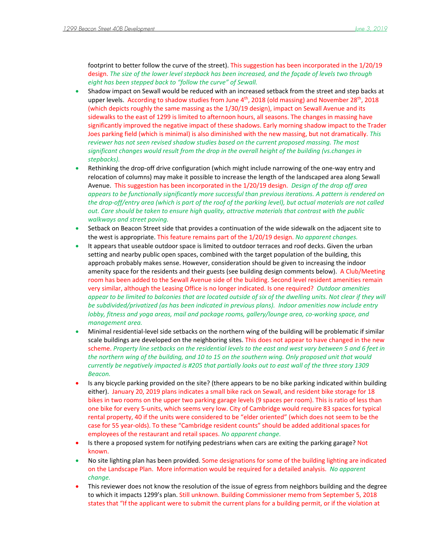footprint to better follow the curve of the street). This suggestion has been incorporated in the 1/20/19 design. *The size of the lower level stepback has been increased, and the façade of levels two through eight has been stepped back to "follow the curve" of Sewall.* 

- Shadow impact on Sewall would be reduced with an increased setback from the street and step backs at upper levels. According to shadow studies from June 4<sup>th</sup>, 2018 (old massing) and November 28<sup>th</sup>, 2018 (which depicts roughly the same massing as the 1/30/19 design), impact on Sewall Avenue and its sidewalks to the east of 1299 is limited to afternoon hours, all seasons. The changes in massing have significantly improved the negative impact of these shadows. Early morning shadow impact to the Trader Joes parking field (which is minimal) is also diminished with the new massing, but not dramatically. *This reviewer has not seen revised shadow studies based on the current proposed massing. The most significant changes would result from the drop in the overall height of the building (vs.changes in stepbacks).*
- Rethinking the drop-off drive configuration (which might include narrowing of the one-way entry and relocation of columns) may make it possible to increase the length of the landscaped area along Sewall Avenue. This suggestion has been incorporated in the 1/20/19 design. *Design of the drop off area appears to be functionally significantly more successful than previous iterations. A pattern is rendered on the drop-off/entry area (which is part of the roof of the parking level), but actual materials are not called out. Care should be taken to ensure high quality, attractive materials that contrast with the public walkways and street paving.*
- Setback on Beacon Street side that provides a continuation of the wide sidewalk on the adjacent site to the west is appropriate. This feature remains part of the 1/20/19 design. *No apparent changes.*
- It appears that useable outdoor space is limited to outdoor terraces and roof decks. Given the urban setting and nearby public open spaces, combined with the target population of the building, this approach probably makes sense. However, consideration should be given to increasing the indoor amenity space for the residents and their guests (see building design comments below). A Club/Meeting room has been added to the Sewall Avenue side of the building. Second level resident amenities remain very similar, although the Leasing Office is no longer indicated. Is one required? *Outdoor amenities appear to be limited to balconies that are located outside of six of the dwelling units. Not clear if they will be subdivided/privatized (as has been indicated in previous plans). Indoor amenities now include entry lobby, fitness and yoga areas, mail and package rooms, gallery/lounge area, co-working space, and management area.*
- Minimal residential-level side setbacks on the northern wing of the building will be problematic if similar scale buildings are developed on the neighboring sites. This does not appear to have changed in the new scheme. *Property line setbacks on the residential levels to the east and west vary between 5 and 6 feet in the northern wing of the building, and 10 to 15 on the southern wing. Only proposed unit that would currently be negatively impacted is #205 that partially looks out to east wall of the three story 1309 Beacon.*
- Is any bicycle parking provided on the site? (there appears to be no bike parking indicated within building either). January 20, 2019 plans indicates a small bike rack on Sewall, and resident bike storage for 18 bikes in two rooms on the upper two parking garage levels (9 spaces per room). This is ratio of less than one bike for every 5-units, which seems very low. City of Cambridge would require 83 spaces for typical rental property, 40 if the units were considered to be "elder oriented" (which does not seem to be the case for 55 year-olds). To these "Cambridge resident counts" should be added additional spaces for employees of the restaurant and retail spaces. *No apparent change.*
- Is there a proposed system for notifying pedestrians when cars are exiting the parking garage? Not known.
- No site lighting plan has been provided. Some designations for some of the building lighting are indicated on the Landscape Plan. More information would be required for a detailed analysis. *No apparent change.*
- This reviewer does not know the resolution of the issue of egress from neighbors building and the degree to which it impacts 1299's plan. Still unknown. Building Commissioner memo from September 5, 2018 states that "If the applicant were to submit the current plans for a building permit, or if the violation at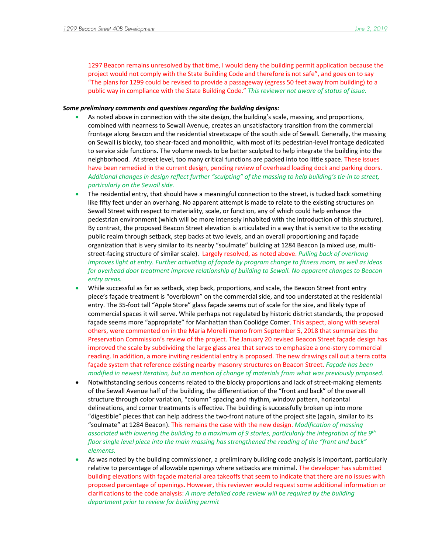1297 Beacon remains unresolved by that time, I would deny the building permit application because the project would not comply with the State Building Code and therefore is not safe", and goes on to say "The plans for 1299 could be revised to provide a passageway (egress 50 feet away from building) to a public way in compliance with the State Building Code." *This reviewer not aware of status of issue.*

## *Some preliminary comments and questions regarding the building designs:*

- As noted above in connection with the site design, the building's scale, massing, and proportions, combined with nearness to Sewall Avenue, creates an unsatisfactory transition from the commercial frontage along Beacon and the residential streetscape of the south side of Sewall. Generally, the massing on Sewall is blocky, too shear-faced and monolithic, with most of its pedestrian-level frontage dedicated to service side functions. The volume needs to be better sculpted to help integrate the building into the neighborhood. At street level, too many critical functions are packed into too little space. These issues have been remedied in the current design, pending review of overhead loading dock and parking doors. *Additional changes in design reflect further "sculpting" of the massing to help building's tie-in to street, particularly on the Sewall side.*
- The residential entry, that should have a meaningful connection to the street, is tucked back something like fifty feet under an overhang. No apparent attempt is made to relate to the existing structures on Sewall Street with respect to materiality, scale, or function, any of which could help enhance the pedestrian environment (which will be more intensely inhabited with the introduction of this structure). By contrast, the proposed Beacon Street elevation is articulated in a way that is sensitive to the existing public realm through setback, step backs at two levels, and an overall proportioning and façade organization that is very similar to its nearby "soulmate" building at 1284 Beacon (a mixed use, multistreet-facing structure of similar scale). Largely resolved, as noted above. *Pulling back of overhang improves light at entry. Further activating of façade by program change to fitness room, as well as ideas for overhead door treatment improve relationship of building to Sewall. No apparent changes to Beacon entry areas.*
- While successful as far as setback, step back, proportions, and scale, the Beacon Street front entry piece's façade treatment is "overblown" on the commercial side, and too understated at the residential entry. The 35-foot tall "Apple Store" glass façade seems out of scale for the size, and likely type of commercial spaces it will serve. While perhaps not regulated by historic district standards, the proposed façade seems more "appropriate" for Manhattan than Coolidge Corner. This aspect, along with several others, were commented on in the Maria Morelli memo from September 5, 2018 that summarizes the Preservation Commission's review of the project. The January 20 revised Beacon Street façade design has improved the scale by subdividing the large glass area that serves to emphasize a one-story commercial reading. In addition, a more inviting residential entry is proposed. The new drawings call out a terra cotta façade system that reference existing nearby masonry structures on Beacon Street. *Façade has been modified in newest iteration, but no mention of change of materials from what was previously proposed.*
- Notwithstanding serious concerns related to the blocky proportions and lack of street-making elements of the Sewall Avenue half of the building, the differentiation of the "front and back" of the overall structure through color variation, "column" spacing and rhythm, window pattern, horizontal delineations, and corner treatments is effective. The building is successfully broken up into more "digestible" pieces that can help address the two-front nature of the project site (again, similar to its "soulmate" at 1284 Beacon). This remains the case with the new design. *Modification of massing associated with lowering the building to a maximum of 9 stories, particularly the integration of the 9th floor single level piece into the main massing has strengthened the reading of the "front and back" elements.*
- As was noted by the building commissioner, a preliminary building code analysis is important, particularly relative to percentage of allowable openings where setbacks are minimal. The developer has submitted building elevations with façade material area takeoffs that seem to indicate that there are no issues with proposed percentage of openings. However, this reviewer would request some additional information or clarifications to the code analysis: *A more detailed code review will be required by the building department prior to review for building permit*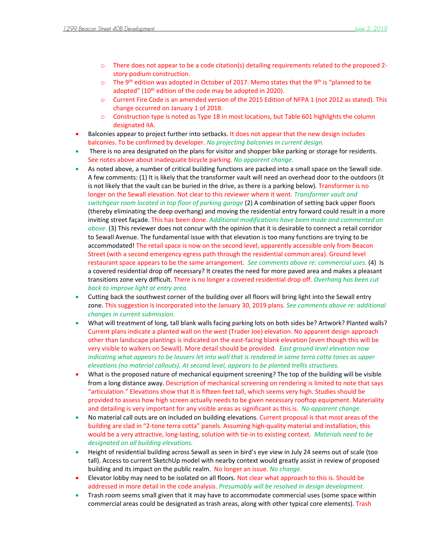- o There does not appear to be a code citation(s) detailing requirements related to the proposed 2 story podium construction.
- $\circ$  The 9<sup>th</sup> edition was adopted in October of 2017. Memo states that the 9<sup>th</sup> is "planned to be adopted" (10<sup>th</sup> edition of the code may be adopted in 2020).
- o Current Fire Code is an amended version of the 2015 Edition of NFPA 1 (not 2012 as stated). This change occurred on January 1 of 2018.
- o Construction type is noted as Type 1B in most locations, but Table 601 highlights the column designated IIA.
- Balconies appear to project further into setbacks. It does not appear that the new design includes balconies. To be confirmed by developer. *No projecting balconies in current design.*
- There is no area designated on the plans for visitor and shopper bike parking or storage for residents. See notes above about inadequate bicycle parking. *No apparent change.*
- As noted above, a number of critical building functions are packed into a small space on the Sewall side. A few comments: (1) It is likely that the transformer vault will need an overhead door to the outdoors (it is not likely that the vault can be buried in the drive, as there is a parking below). Transformer is no longer on the Sewall elevation. Not clear to this reviewer where it went. *Transformer vault and switchgear room located in top floor of parking garage* (2) A combination of setting back upper floors (thereby eliminating the deep overhang) and moving the residential entry forward could result in a more inviting street façade. This has been done. *Additional modifications have been made and commented on above.* (3) This reviewer does not concur with the opinion that it is desirable to connect a retail corridor to Sewall Avenue. The fundamental issue with that elevation is too many functions are trying to be accommodated! The retail space is now on the second level, apparently accessible only from Beacon Street (with a second emergency egress path through the residential common area). Ground level restaurant space appears to be the same arrangement. *See comments above re: commercial uses.* (4) Is a covered residential drop off necessary? It creates the need for more paved area and makes a pleasant transitions zone very difficult. There is no longer a covered residential drop off. *Overhang has been cut back to improve light at entry area.*
- Cutting back the southwest corner of the building over all floors will bring light into the Sewall entry zone. This suggestion is incorporated into the January 30, 2019 plans. *See comments above re: additional changes in current submission.*
- What will treatment of long, tall blank walls facing parking lots on both sides be? Artwork? Planted walls? Current plans indicate a planted wall on the west (Trader Joe) elevation. No apparent design approach other than landscape plantings is indicated on the east-facing blank elevation (even though this will be very visible to walkers on Sewall). More detail should be provided. *East ground level elevation now indicating what appears to be louvers let into wall that is rendered in same terra cotta tones as upper elevations (no material callouts). At second level, appears to be planted trellis structures.*
- What is the proposed nature of mechanical equipment screening? The top of the building will be visible from a long distance away. Description of mechanical screening on rendering is limited to note that says "articulation." Elevations show that It is fifteen feet tall, which seems very high. Studies should be provided to assess how high screen actually needs to be given necessary rooftop equipment. Materiality and detailing is very important for any visible areas as significant as this is. *No apparent change.*
- No material call outs are on included on building elevations. Current proposal is that most areas of the building are clad in "2-tone terra cotta" panels. Assuming high-quality material and installation, this would be a very attractive, long-lasting, solution with tie-in to existing context. *Materials need to be designated on all building elevations.*
- Height of residential building across Sewall as seen in bird's eye view in July 24 seems out of scale (too tall). Access to current SketchUp model with nearby context would greatly assist in review of proposed building and its impact on the public realm. No longer an issue. *No change.*
- Elevator lobby may need to be isolated on all floors. Not clear what approach to this is. Should be addressed in more detail in the code analysis. *Presumably will be resolved in design development.*
- **•** Trash room seems small given that it may have to accommodate commercial uses (some space within commercial areas could be designated as trash areas, along with other typical core elements). Trash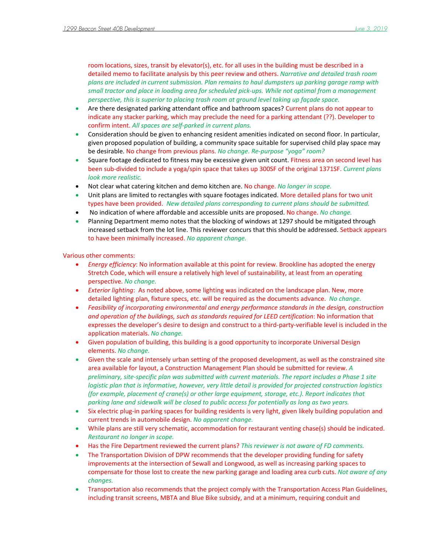room locations, sizes, transit by elevator(s), etc. for all uses in the building must be described in a detailed memo to facilitate analysis by this peer review and others. *Narrative and detailed trash room plans are included in current submission. Plan remains to haul dumpsters up parking garage ramp with small tractor and place in loading area for scheduled pick-ups. While not optimal from a management perspective, this is superior to placing trash room at ground level taking up façade space.* 

- Are there designated parking attendant office and bathroom spaces? Current plans do not appear to indicate any stacker parking, which may preclude the need for a parking attendant (??). Developer to confirm intent. *All spaces are self-parked in current plans.*
- Consideration should be given to enhancing resident amenities indicated on second floor. In particular, given proposed population of building, a community space suitable for supervised child play space may be desirable. No change from previous plans. *No change. Re-purpose "yoga" room?*
- Square footage dedicated to fitness may be excessive given unit count. Fitness area on second level has been sub-divided to include a yoga/spin space that takes up 300SF of the original 1371SF. *Current plans look more realistic.*
- Not clear what catering kitchen and demo kitchen are. No change. *No longer in scope.*
- Unit plans are limited to rectangles with square footages indicated. More detailed plans for two unit types have been provided. *New detailed plans corresponding to current plans should be submitted.*
- No indication of where affordable and accessible units are proposed. No change. *No change.*
- Planning Department memo notes that the blocking of windows at 1297 should be mitigated through increased setback from the lot line. This reviewer concurs that this should be addressed. Setback appears to have been minimally increased. *No apparent change.*

## Various other comments:

- *Energy efficiency*: No information available at this point for review. Brookline has adopted the energy Stretch Code, which will ensure a relatively high level of sustainability, at least from an operating perspective. *No change.*
- *Exterior lighting*: As noted above, some lighting was indicated on the landscape plan. New, more detailed lighting plan, fixture specs, etc. will be required as the documents advance. *No change.*
- *Feasibility of incorporating environmental and energy performance standards in the design, construction and operation of the buildings, such as standards required for LEED certification*: No information that expresses the developer's desire to design and construct to a third-party-verifiable level is included in the application materials. *No change.*
- Given population of building, this building is a good opportunity to incorporate Universal Design elements. *No change.*
- Given the scale and intensely urban setting of the proposed development, as well as the constrained site area available for layout, a Construction Management Plan should be submitted for review. *A preliminary, site-specific plan was submitted with current materials. The report includes a Phase 1 site logistic plan that is informative, however, very little detail is provided for projected construction logistics (for example, placement of crane(s) or other large equipment, storage, etc.). Report indicates that parking lane and sidewalk will be closed to public access for potentially as long as two years.*
- Six electric plug-in parking spaces for building residents is very light, given likely building population and current trends in automobile design. *No apparent change.*
- While plans are still very schematic, accommodation for restaurant venting chase(s) should be indicated. *Restaurant no longer in scope.*
- Has the Fire Department reviewed the current plans? *This reviewer is not aware of FD comments.*
- The Transportation Division of DPW recommends that the developer providing funding for safety improvements at the intersection of Sewall and Longwood, as well as increasing parking spaces to compensate for those lost to create the new parking garage and loading area curb cuts. *Not aware of any changes.*
- Transportation also recommends that the project comply with the Transportation Access Plan Guidelines, including transit screens, MBTA and Blue Bike subsidy, and at a minimum, requiring conduit and